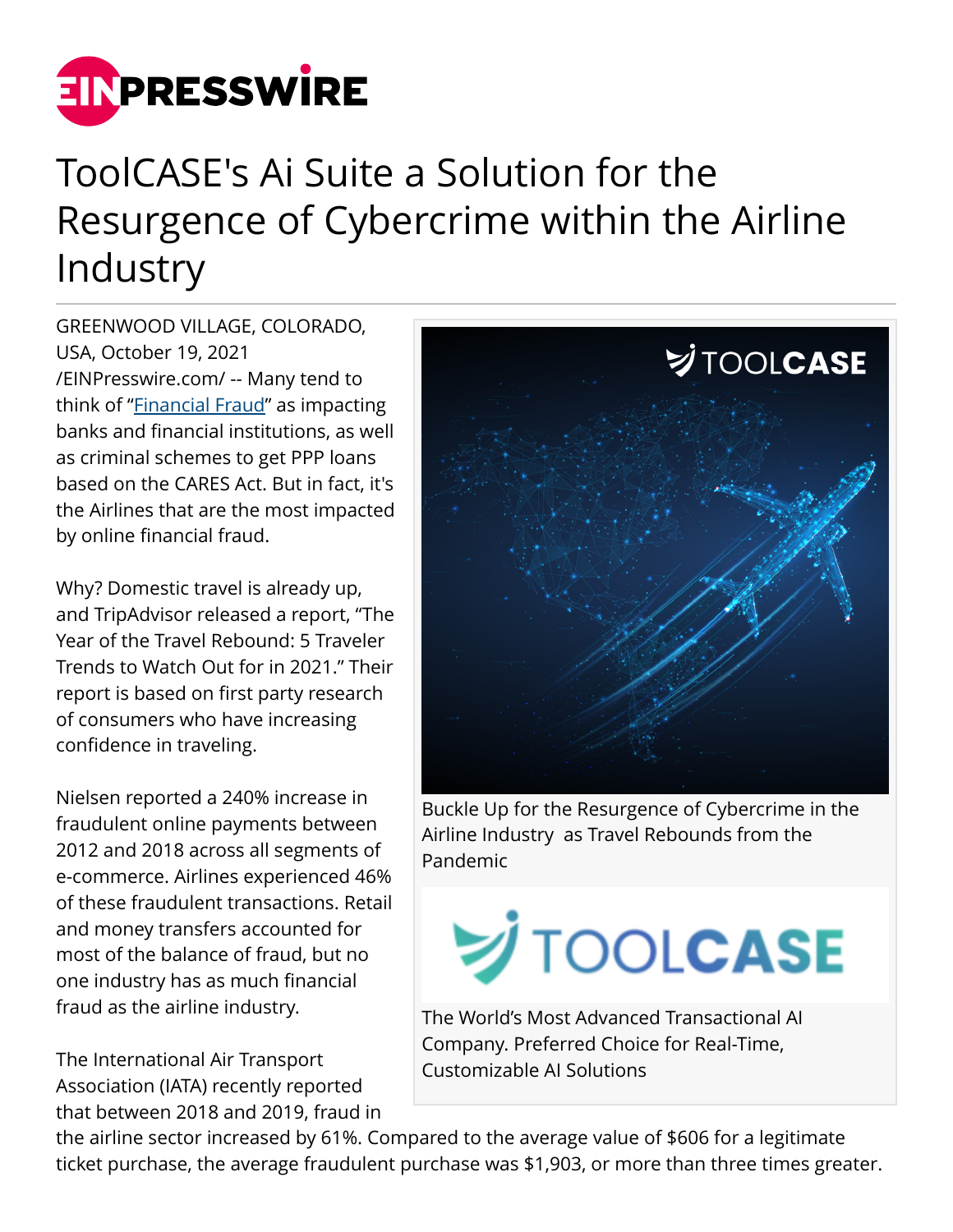

## ToolCASE's Ai Suite a Solution for the Resurgence of Cybercrime within the Airline Industry

GREENWOOD VILLAGE, COLORADO, USA, October 19, 2021 [/EINPresswire.com/](http://www.einpresswire.com) -- Many tend to think of "**[Financial Fraud](https://news.toolcase.com/2021/09/20/buckle-up-for-the-resurgence-of-cybercrime-in-the-airline-industry-as-travel-rebounds-from-the-pandemic/)**" as impacting banks and financial institutions, as well as criminal schemes to get PPP loans based on the CARES Act. But in fact, it's the Airlines that are the most impacted by online financial fraud.

Why? Domestic travel is already up, and TripAdvisor released a report, "The Year of the Travel Rebound: 5 Traveler Trends to Watch Out for in 2021." Their report is based on first party research of consumers who have increasing confidence in traveling.

Nielsen reported a 240% increase in fraudulent online payments between 2012 and 2018 across all segments of e-commerce. Airlines experienced 46% of these fraudulent transactions. Retail and money transfers accounted for most of the balance of fraud, but no one industry has as much financial fraud as the airline industry.

The International Air Transport Association (IATA) recently reported that between 2018 and 2019, fraud in



Buckle Up for the Resurgence of Cybercrime in the Airline Industry as Travel Rebounds from the Pandemic

## **SUITOOLCASE**

The World's Most Advanced Transactional AI Company. Preferred Choice for Real-Time, Customizable AI Solutions

the airline sector increased by 61%. Compared to the average value of \$606 for a legitimate ticket purchase, the average fraudulent purchase was \$1,903, or more than three times greater.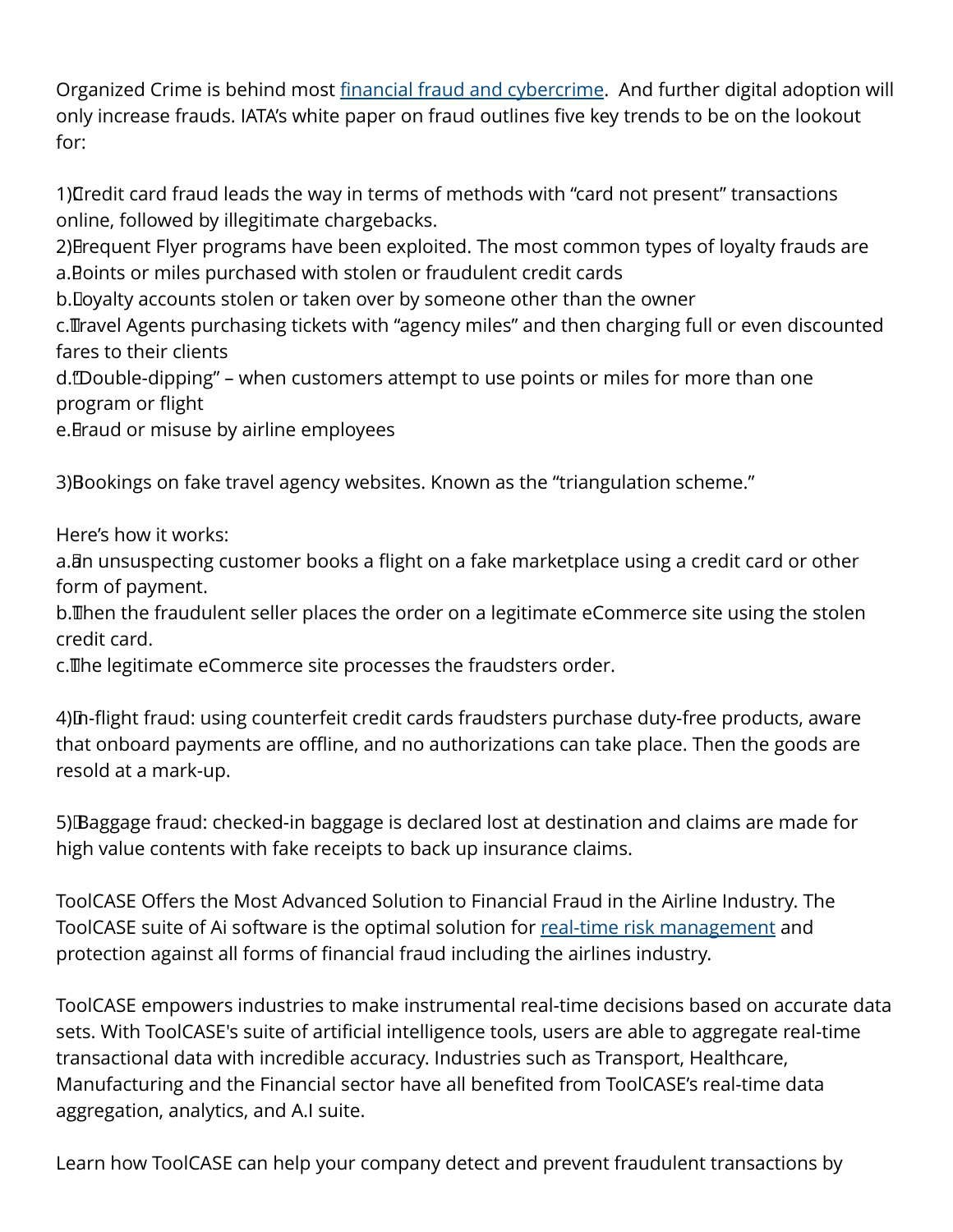Organized Crime is behind most [financial fraud and cybercrime](https://news.toolcase.com/2021/09/20/buckle-up-for-the-resurgence-of-cybercrime-in-the-airline-industry-as-travel-rebounds-from-the-pandemic/). And further digital adoption will only increase frauds. IATA's white paper on fraud outlines five key trends to be on the lookout for:

1) Tredit card fraud leads the way in terms of methods with "card not present" transactions online, followed by illegitimate chargebacks.

2) Brequent Flyer programs have been exploited. The most common types of loyalty frauds are a. Boints or miles purchased with stolen or fraudulent credit cards

b. Doyalty accounts stolen or taken over by someone other than the owner

c. Travel Agents purchasing tickets with "agency miles" and then charging full or even discounted fares to their clients

d. "Double-dipping" – when customers attempt to use points or miles for more than one program or flight

e. Braud or misuse by airline employees

3) Bookings on fake travel agency websites. Known as the "triangulation scheme."

Here's how it works:

a. Bn unsuspecting customer books a flight on a fake marketplace using a credit card or other form of payment.

b. Then the fraudulent seller places the order on a legitimate eCommerce site using the stolen credit card.

c. The legitimate eCommerce site processes the fraudsters order.

4) In-flight fraud: using counterfeit credit cards fraudsters purchase duty-free products, aware that onboard payments are offline, and no authorizations can take place. Then the goods are resold at a mark-up.

5) Baggage fraud: checked-in baggage is declared lost at destination and claims are made for high value contents with fake receipts to back up insurance claims.

ToolCASE Offers the Most Advanced Solution to Financial Fraud in the Airline Industry. The ToolCASE suite of Ai software is the optimal solution for [real-time risk management](https://toolcase.com/) and protection against all forms of financial fraud including the airlines industry.

ToolCASE empowers industries to make instrumental real-time decisions based on accurate data sets. With ToolCASE's suite of artificial intelligence tools, users are able to aggregate real-time transactional data with incredible accuracy. Industries such as Transport, Healthcare, Manufacturing and the Financial sector have all benefited from ToolCASE's real-time data aggregation, analytics, and A.I suite.

Learn how ToolCASE can help your company detect and prevent fraudulent transactions by